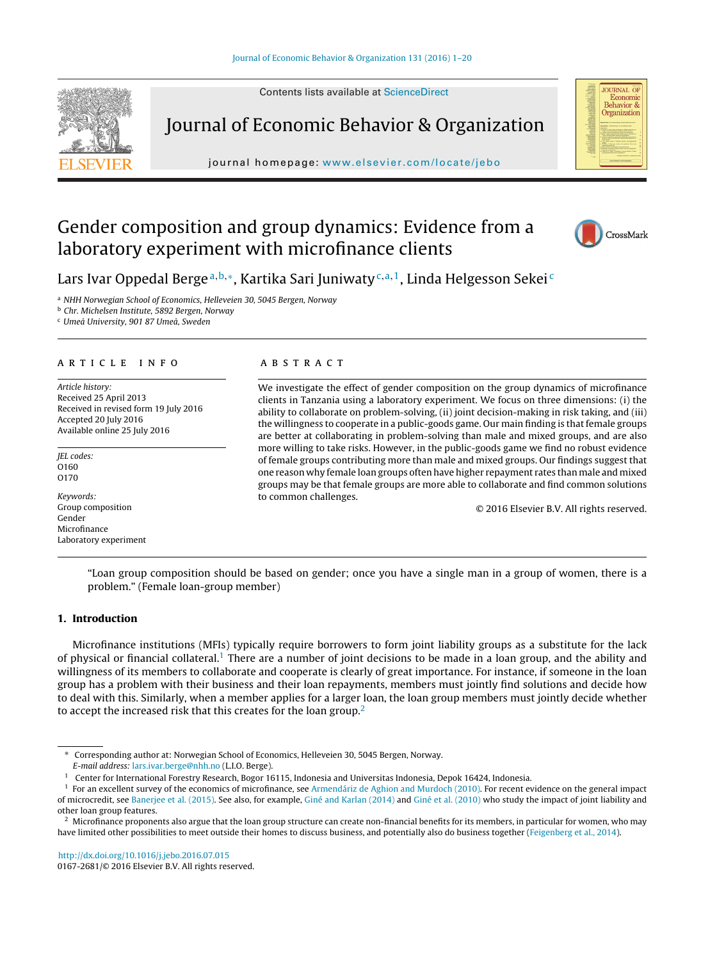Contents lists available at [ScienceDirect](http://www.sciencedirect.com/science/journal/01672681)



Journal of Economic Behavior & Organization

journal homepage: [www.elsevier.com/locate/jebo](http://www.elsevier.com/locate/jebo)



## Gender composition and group dynamics: Evidence from a laboratory experiment with microfinance clients



Lars Ivar Oppedal Berge<sup>a,b,\*</sup>, Kartika Sari Juniwaty<sup>c,a,1</sup>, Linda Helgesson Sekei<sup>c</sup>

<sup>a</sup> NHH Norwegian School of Economics, Helleveien 30, 5045 Bergen, Norway

<sup>b</sup> Chr. Michelsen Institute, 5892 Bergen, Norway

<sup>c</sup> Umeå University, 901 87 Umeå, Sweden

#### ARTICLE INFO

Article history: Received 25 April 2013 Received in revised form 19 July 2016 Accepted 20 July 2016 Available online 25 July 2016

JEL codes: O160 O170

Keywords: Group composition Gender Microfinance Laboratory experiment

#### A B S T R A C T

We investigate the effect of gender composition on the group dynamics of microfinance clients in Tanzania using a laboratory experiment. We focus on three dimensions: (i) the ability to collaborate on problem-solving, (ii) joint decision-making in risk taking, and (iii) the willingness to cooperate in a public-goods game. Our main finding is that female groups are better at collaborating in problem-solving than male and mixed groups, and are also more willing to take risks. However, in the public-goods game we find no robust evidence of female groups contributing more than male and mixed groups. Our findings suggest that one reason why female loan groups often have higher repayment rates than male and mixed groups may be that female groups are more able to collaborate and find common solutions to common challenges.

© 2016 Elsevier B.V. All rights reserved.

"Loan group composition should be based on gender; once you have a single man in a group of women, there is a problem." (Female loan-group member)

### **1. Introduction**

Microfinance institutions (MFIs) typically require borrowers to form joint liability groups as a substitute for the lack of physical or financial collateral.1 There are a number of joint decisions to be made in a loan group, and the ability and willingness of its members to collaborate and cooperate is clearly of great importance. For instance, if someone in the loan group has a problem with their business and their loan repayments, members must jointly find solutions and decide how to deal with this. Similarly, when a member applies for a larger loan, the loan group members must jointly decide whether to accept the increased risk that this creates for the loan group.<sup>2</sup>

 $1$  Center for International Forestry Research, Bogor 16115, Indonesia and Universitas Indonesia, Depok 16424, Indonesia.

[http://dx.doi.org/10.1016/j.jebo.2016.07.015](dx.doi.org/10.1016/j.jebo.2016.07.015) 0167-2681/© 2016 Elsevier B.V. All rights reserved.

<sup>∗</sup> Corresponding author at: Norwegian School of Economics, Helleveien 30, 5045 Bergen, Norway. E-mail address: [lars.ivar.berge@nhh.no](mailto:lars.ivar.berge@nhh.no) (L.I.O. Berge).

<sup>&</sup>lt;sup>1</sup> For an excellent survey of the economics of microfinance, see [Armendáriz](#page--1-0) [de](#page--1-0) [Aghion](#page--1-0) [and](#page--1-0) [Murdoch](#page--1-0) [\(2010\).](#page--1-0) For recent evidence on the general impact of microcredit, see [Banerjee](#page--1-0) et [al.](#page--1-0) [\(2015\).](#page--1-0) See also, for example, [Giné](#page--1-0) [and](#page--1-0) [Karlan](#page--1-0) [\(2014\)](#page--1-0) and [Giné](#page--1-0) et [al.](#page--1-0) [\(2010\)](#page--1-0) who study the impact of joint liability and other loan group features.

 $^2$  Microfinance proponents also argue that the loan group structure can create non-financial benefits for its members, in particular for women, who may have limited other possibilities to meet outside their homes to discuss business, and potentially also do business together ([Feigenberg](#page--1-0) et [al.,](#page--1-0) [2014\).](#page--1-0)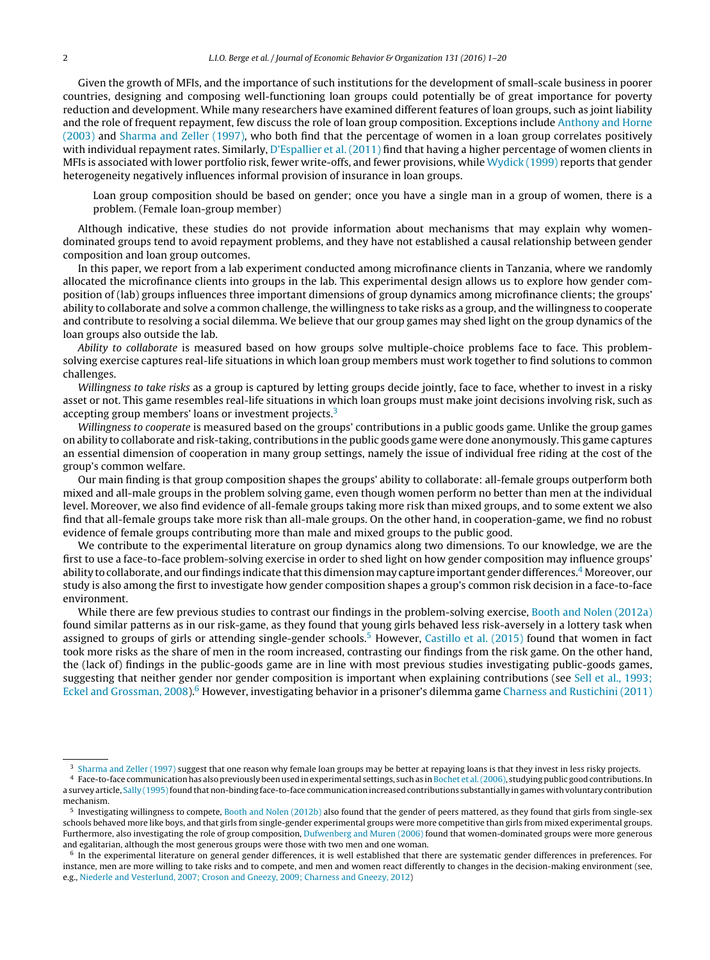Given the growth of MFIs, and the importance of such institutions for the development of small-scale business in poorer countries, designing and composing well-functioning loan groups could potentially be of great importance for poverty reduction and development. While many researchers have examined different features of loan groups, such as joint liability and the role of frequent repayment, few discuss the role of loan group composition. Exceptions include [Anthony](#page--1-0) [and](#page--1-0) [Horne](#page--1-0) [\(2003\)](#page--1-0) and [Sharma](#page--1-0) [and](#page--1-0) [Zeller](#page--1-0) [\(1997\),](#page--1-0) who both find that the percentage of women in a loan group correlates positively with individual repayment rates. Similarly, [D'Espallier](#page--1-0) et [al.](#page--1-0) [\(2011\)](#page--1-0) find that having a higher percentage of women clients in MFIs is associated with lower portfolio risk, fewer write-offs, and fewer provisions, while [Wydick](#page--1-0) [\(1999\)](#page--1-0) reports that gender heterogeneity negatively influences informal provision of insurance in loan groups.

Loan group composition should be based on gender; once you have a single man in a group of women, there is a problem. (Female loan-group member)

Although indicative, these studies do not provide information about mechanisms that may explain why womendominated groups tend to avoid repayment problems, and they have not established a causal relationship between gender composition and loan group outcomes.

In this paper, we report from a lab experiment conducted among microfinance clients in Tanzania, where we randomly allocated the microfinance clients into groups in the lab. This experimental design allows us to explore how gender composition of (lab) groups influences three important dimensions of group dynamics among microfinance clients; the groups' ability to collaborate and solve a common challenge, the willingness to take risks as a group, and the willingness to cooperate and contribute to resolving a social dilemma. We believe that our group games may shed light on the group dynamics of the loan groups also outside the lab.

Ability to collaborate is measured based on how groups solve multiple-choice problems face to face. This problemsolving exercise captures real-life situations in which loan group members must work together to find solutions to common challenges.

Willingness to take risks as a group is captured by letting groups decide jointly, face to face, whether to invest in a risky asset or not. This game resembles real-life situations in which loan groups must make joint decisions involving risk, such as accepting group members' loans or investment projects.<sup>3</sup>

Willingness to cooperate is measured based on the groups' contributions in a public goods game. Unlike the group games on ability to collaborate and risk-taking, contributions in the public goods game were done anonymously. This game captures an essential dimension of cooperation in many group settings, namely the issue of individual free riding at the cost of the group's common welfare.

Our main finding is that group composition shapes the groups' ability to collaborate: all-female groups outperform both mixed and all-male groups in the problem solving game, even though women perform no better than men at the individual level. Moreover, we also find evidence of all-female groups taking more risk than mixed groups, and to some extent we also find that all-female groups take more risk than all-male groups. On the other hand, in cooperation-game, we find no robust evidence of female groups contributing more than male and mixed groups to the public good.

We contribute to the experimental literature on group dynamics along two dimensions. To our knowledge, we are the first to use a face-to-face problem-solving exercise in order to shed light on how gender composition may influence groups' ability to collaborate, and our findings indicate that this dimension may capture important gender differences.<sup>4</sup> Moreover, our study is also among the first to investigate how gender composition shapes a group's common risk decision in a face-to-face environment.

While there are few previous studies to contrast our findings in the problem-solving exercise, [Booth](#page--1-0) [and](#page--1-0) [Nolen](#page--1-0) [\(2012a\)](#page--1-0) found similar patterns as in our risk-game, as they found that young girls behaved less risk-aversely in a lottery task when assigned to groups of girls or attending single-gender schools.<sup>5</sup> However, [Castillo](#page--1-0) et [al.](#page--1-0) [\(2015\)](#page--1-0) found that women in fact took more risks as the share of men in the room increased, contrasting our findings from the risk game. On the other hand, the (lack of) findings in the public-goods game are in line with most previous studies investigating public-goods games, suggesting that neither gender nor gender composition is important when explaining contributions (see [Sell](#page--1-0) et [al.,](#page--1-0) [1993;](#page--1-0) [Eckel](#page--1-0) [and](#page--1-0) [Grossman,](#page--1-0) [2008\).](#page--1-0)<sup>6</sup> However, investigating behavior in a prisoner's dilemma game [Charness](#page--1-0) and [Rustichini](#page--1-0) [\(2011\)](#page--1-0)

<sup>&</sup>lt;sup>3</sup> [Sharma](#page--1-0) [and](#page--1-0) [Zeller](#page--1-0) [\(1997\)](#page--1-0) suggest that one reason why female loan groups may be better at repaying loans is that they invest in less risky projects.

<sup>4</sup> Face-to-face communication has also previously been used in experimental settings, such as in [Bochet](#page--1-0) et al. (2006), studying public good contributions. In a survey article, [Sally](#page--1-0) (1995) found that non-binding face-to-face communication increased contributions substantially in games with voluntary contribution mechanism.

<sup>&</sup>lt;sup>5</sup> Investigating willingness to compete, [Booth](#page--1-0) [and](#page--1-0) [Nolen](#page--1-0) [\(2012b\)](#page--1-0) also found that the gender of peers mattered, as they found that girls from single-sex schools behaved more like boys, and that girls from single-gender experimental groups were more competitive than girls from mixed experimental groups. Furthermore, also investigating the role of group composition, [Dufwenberg](#page--1-0) [and](#page--1-0) [Muren](#page--1-0) [\(2006\)](#page--1-0) found that women-dominated groups were more generous and egalitarian, although the most generous groups were those with two men and one woman.

<sup>&</sup>lt;sup>6</sup> In the experimental literature on general gender differences, it is well established that there are systematic gender differences in preferences. For instance, men are more willing to take risks and to compete, and men and women react differently to changes in the decision-making environment (see, e.g., [Niederle](#page--1-0) [and](#page--1-0) [Vesterlund,](#page--1-0) [2007;](#page--1-0) [Croson](#page--1-0) [and](#page--1-0) [Gneezy,](#page--1-0) [2009;](#page--1-0) [Charness](#page--1-0) [and](#page--1-0) [Gneezy,](#page--1-0) [2012\)](#page--1-0)